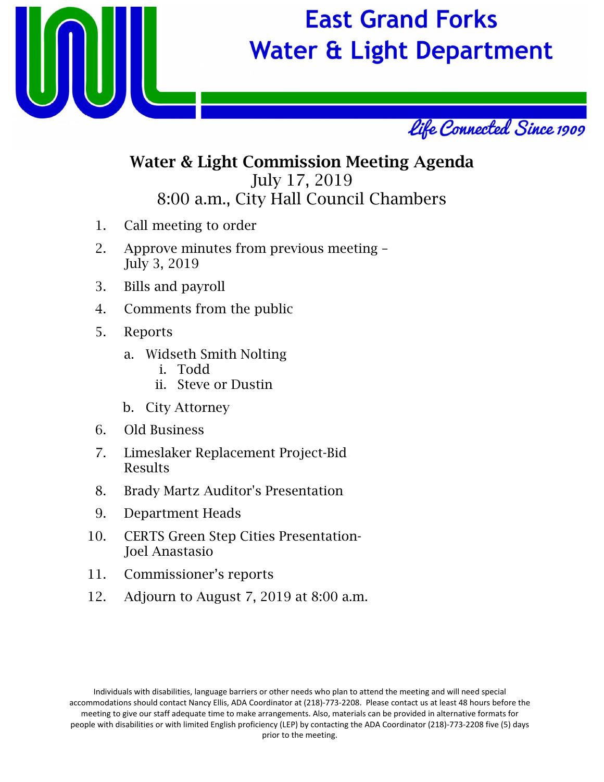

# **East Grand Forks Water & Light Department**



### Water & Light Commission Meeting Agenda July 17, 2019 8:00 a.m., City Hall Council Chambers

- 1. Call meeting to order
- 2. Approve minutes from previous meeting July 3, 2019
- 3. Bills and payroll
- 4. Comments from the public
- 5. Reports
	- a. Widseth Smith Nolting
		- i. Todd
		- ii. Steve or Dustin
	- b. City Attorney
- 6. Old Business
- 7. Limeslaker Replacement Project-Bid Results
- 8. Brady Martz Auditor's Presentation
- 9. Department Heads
- 10. CERTS Green Step Cities Presentation-Joel Anastasio
- 11. Commissioner's reports
- 12. Adjourn to August 7, 2019 at 8:00 a.m.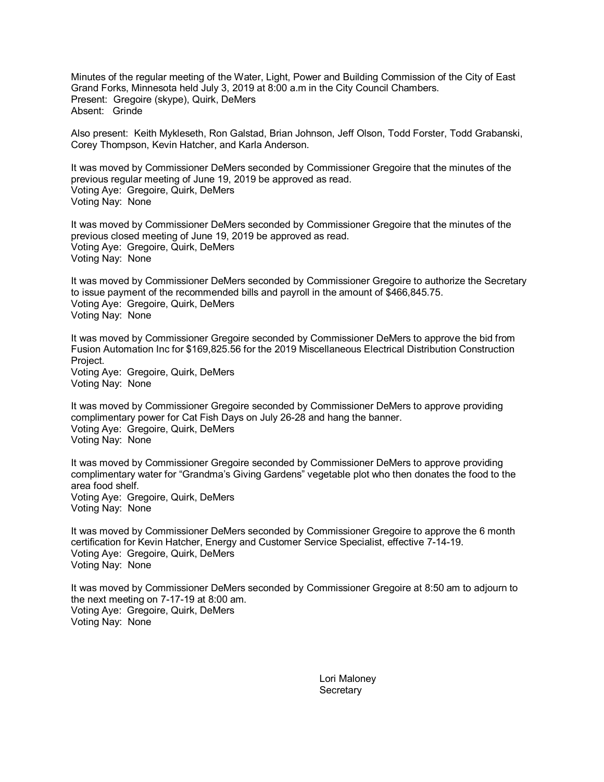Minutes of the regular meeting of the Water, Light, Power and Building Commission of the City of East Grand Forks, Minnesota held July 3, 2019 at 8:00 a.m in the City Council Chambers. Present: Gregoire (skype), Quirk, DeMers Absent: Grinde

Also present: Keith Mykleseth, Ron Galstad, Brian Johnson, Jeff Olson, Todd Forster, Todd Grabanski, Corey Thompson, Kevin Hatcher, and Karla Anderson.

It was moved by Commissioner DeMers seconded by Commissioner Gregoire that the minutes of the previous regular meeting of June 19, 2019 be approved as read. Voting Aye: Gregoire, Quirk, DeMers Voting Nay: None

It was moved by Commissioner DeMers seconded by Commissioner Gregoire that the minutes of the previous closed meeting of June 19, 2019 be approved as read. Voting Aye: Gregoire, Quirk, DeMers Voting Nay: None

It was moved by Commissioner DeMers seconded by Commissioner Gregoire to authorize the Secretary to issue payment of the recommended bills and payroll in the amount of \$466,845.75. Voting Aye: Gregoire, Quirk, DeMers Voting Nay: None

It was moved by Commissioner Gregoire seconded by Commissioner DeMers to approve the bid from Fusion Automation Inc for \$169,825.56 for the 2019 Miscellaneous Electrical Distribution Construction Project. Voting Aye: Gregoire, Quirk, DeMers

Voting Nay: None

It was moved by Commissioner Gregoire seconded by Commissioner DeMers to approve providing complimentary power for Cat Fish Days on July 26-28 and hang the banner. Voting Aye: Gregoire, Quirk, DeMers Voting Nay: None

It was moved by Commissioner Gregoire seconded by Commissioner DeMers to approve providing complimentary water for "Grandma's Giving Gardens" vegetable plot who then donates the food to the area food shelf. Voting Aye: Gregoire, Quirk, DeMers Voting Nay: None

It was moved by Commissioner DeMers seconded by Commissioner Gregoire to approve the 6 month certification for Kevin Hatcher, Energy and Customer Service Specialist, effective 7-14-19. Voting Aye: Gregoire, Quirk, DeMers Voting Nay: None

It was moved by Commissioner DeMers seconded by Commissioner Gregoire at 8:50 am to adjourn to the next meeting on 7-17-19 at 8:00 am. Voting Aye: Gregoire, Quirk, DeMers Voting Nay: None

> Lori Maloney **Secretary**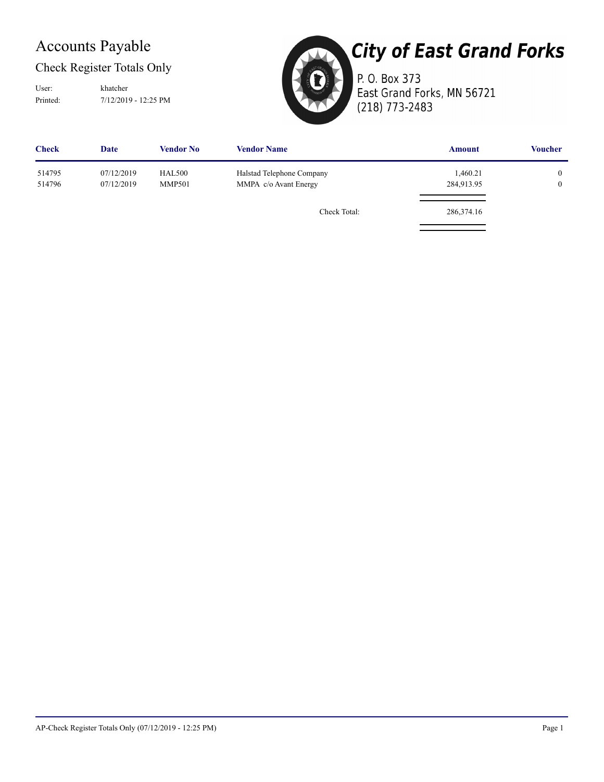## Accounts Payable

### Check Register Totals Only

Printed: 7/12/2019 - 12:25 PM User: khatcher



# **City of East Grand Forks**

P. O. Box 373 East Grand Forks, MN 56721 (218) 773-2483

| <b>Check</b>     | <b>Date</b>              | <b>Vendor No</b>               | <b>Vendor Name</b>                                 | <b>Amount</b>          | <b>Voucher</b>               |
|------------------|--------------------------|--------------------------------|----------------------------------------------------|------------------------|------------------------------|
| 514795<br>514796 | 07/12/2019<br>07/12/2019 | <b>HAL500</b><br><b>MMP501</b> | Halstad Telephone Company<br>MMPA c/o Avant Energy | 1,460.21<br>284,913.95 | $\mathbf{0}$<br>$\mathbf{0}$ |
|                  |                          |                                | Check Total:                                       | 286,374.16             |                              |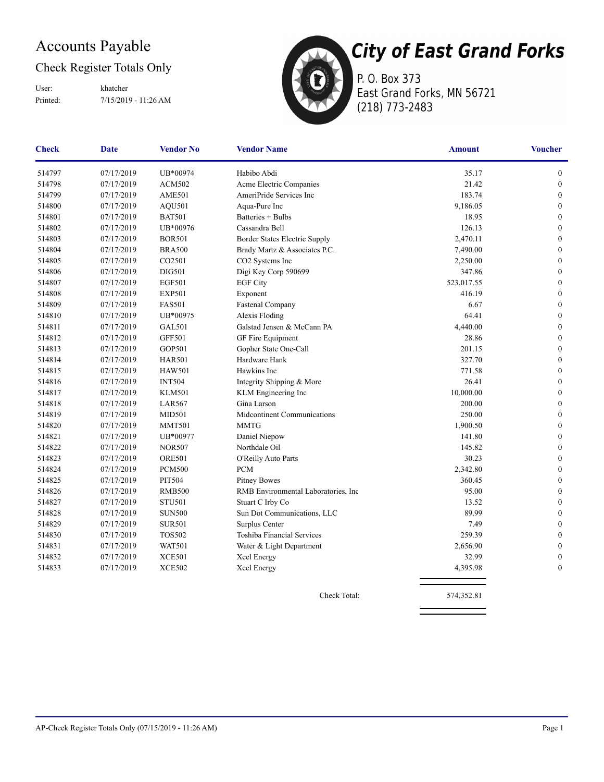## Accounts Payable

### Check Register Totals Only

Printed: 7/15/2019 - 11:26 AM User: khatcher



P. O. Box 373 East Grand Forks, MN 56721 (218) 773-2483

| <b>Check</b> | <b>Vendor No</b><br><b>Vendor Name</b><br>Date |               | <b>Amount</b>                        | <b>Voucher</b> |                  |
|--------------|------------------------------------------------|---------------|--------------------------------------|----------------|------------------|
| 514797       | 07/17/2019                                     | UB*00974      | Habibo Abdi                          | 35.17          | $\boldsymbol{0}$ |
| 514798       | 07/17/2019                                     | <b>ACM502</b> | Acme Electric Companies              | 21.42          | $\boldsymbol{0}$ |
| 514799       | 07/17/2019                                     | <b>AME501</b> | AmeriPride Services Inc              | 183.74         | $\boldsymbol{0}$ |
| 514800       | 07/17/2019                                     | <b>AQU501</b> | Aqua-Pure Inc                        | 9,186.05       | $\boldsymbol{0}$ |
| 514801       | 07/17/2019                                     | <b>BAT501</b> | Batteries + Bulbs                    | 18.95          | $\mathbf{0}$     |
| 514802       | 07/17/2019                                     | UB*00976      | Cassandra Bell                       | 126.13         | $\boldsymbol{0}$ |
| 514803       | 07/17/2019                                     | <b>BOR501</b> | Border States Electric Supply        | 2,470.11       | $\boldsymbol{0}$ |
| 514804       | 07/17/2019                                     | <b>BRA500</b> | Brady Martz & Associates P.C.        | 7,490.00       | $\boldsymbol{0}$ |
| 514805       | 07/17/2019                                     | CO2501        | CO2 Systems Inc                      | 2,250.00       | $\boldsymbol{0}$ |
| 514806       | 07/17/2019                                     | <b>DIG501</b> | Digi Key Corp 590699                 | 347.86         | $\boldsymbol{0}$ |
| 514807       | 07/17/2019                                     | <b>EGF501</b> | <b>EGF City</b>                      | 523,017.55     | $\boldsymbol{0}$ |
| 514808       | 07/17/2019                                     | <b>EXP501</b> | Exponent                             | 416.19         | $\boldsymbol{0}$ |
| 514809       | 07/17/2019                                     | <b>FAS501</b> | Fastenal Company                     | 6.67           | $\boldsymbol{0}$ |
| 514810       | 07/17/2019                                     | UB*00975      | Alexis Floding                       | 64.41          | $\boldsymbol{0}$ |
| 514811       | 07/17/2019                                     | <b>GAL501</b> | Galstad Jensen & McCann PA           | 4,440.00       | $\boldsymbol{0}$ |
| 514812       | 07/17/2019                                     | <b>GFF501</b> | GF Fire Equipment                    | 28.86          | $\boldsymbol{0}$ |
| 514813       | 07/17/2019                                     | GOP501        | Gopher State One-Call                | 201.15         | $\boldsymbol{0}$ |
| 514814       | 07/17/2019                                     | <b>HAR501</b> | Hardware Hank                        | 327.70         | $\mathbf{0}$     |
| 514815       | 07/17/2019                                     | <b>HAW501</b> | Hawkins Inc                          | 771.58         | $\mathbf{0}$     |
| 514816       | 07/17/2019                                     | <b>INT504</b> | Integrity Shipping & More            | 26.41          | $\boldsymbol{0}$ |
| 514817       | 07/17/2019                                     | <b>KLM501</b> | KLM Engineering Inc                  | 10,000.00      | $\boldsymbol{0}$ |
| 514818       | 07/17/2019                                     | <b>LAR567</b> | Gina Larson                          | 200.00         | $\boldsymbol{0}$ |
| 514819       | 07/17/2019                                     | <b>MID501</b> | Midcontinent Communications          | 250.00         | $\mathbf{0}$     |
| 514820       | 07/17/2019                                     | <b>MMT501</b> | <b>MMTG</b>                          | 1,900.50       | $\mathbf{0}$     |
| 514821       | 07/17/2019                                     | UB*00977      | Daniel Niepow                        | 141.80         | $\boldsymbol{0}$ |
| 514822       | 07/17/2019                                     | <b>NOR507</b> | Northdale Oil                        | 145.82         | $\boldsymbol{0}$ |
| 514823       | 07/17/2019                                     | <b>ORE501</b> | O'Reilly Auto Parts                  | 30.23          | $\boldsymbol{0}$ |
| 514824       | 07/17/2019                                     | <b>PCM500</b> | <b>PCM</b>                           | 2,342.80       | $\boldsymbol{0}$ |
| 514825       | 07/17/2019                                     | PIT504        | <b>Pitney Bowes</b>                  | 360.45         | $\boldsymbol{0}$ |
| 514826       | 07/17/2019                                     | <b>RMB500</b> | RMB Environmental Laboratories, Inc. | 95.00          | $\boldsymbol{0}$ |
| 514827       | 07/17/2019                                     | <b>STU501</b> | Stuart C Irby Co                     | 13.52          | $\boldsymbol{0}$ |
| 514828       | 07/17/2019                                     | <b>SUN500</b> | Sun Dot Communications, LLC          | 89.99          | $\boldsymbol{0}$ |
| 514829       | 07/17/2019                                     | <b>SUR501</b> | Surplus Center                       | 7.49           | $\mathbf{0}$     |
| 514830       | 07/17/2019                                     | <b>TOS502</b> | Toshiba Financial Services           | 259.39         | $\mathbf{0}$     |
| 514831       | 07/17/2019                                     | <b>WAT501</b> | Water & Light Department             | 2,656.90       | $\boldsymbol{0}$ |
| 514832       | 07/17/2019                                     | <b>XCE501</b> | Xcel Energy                          | 32.99          | $\boldsymbol{0}$ |
| 514833       | 07/17/2019                                     | <b>XCE502</b> | Xcel Energy                          | 4,395.98       | $\mathbf{0}$     |
|              |                                                |               | Check Total:                         | 574,352.81     |                  |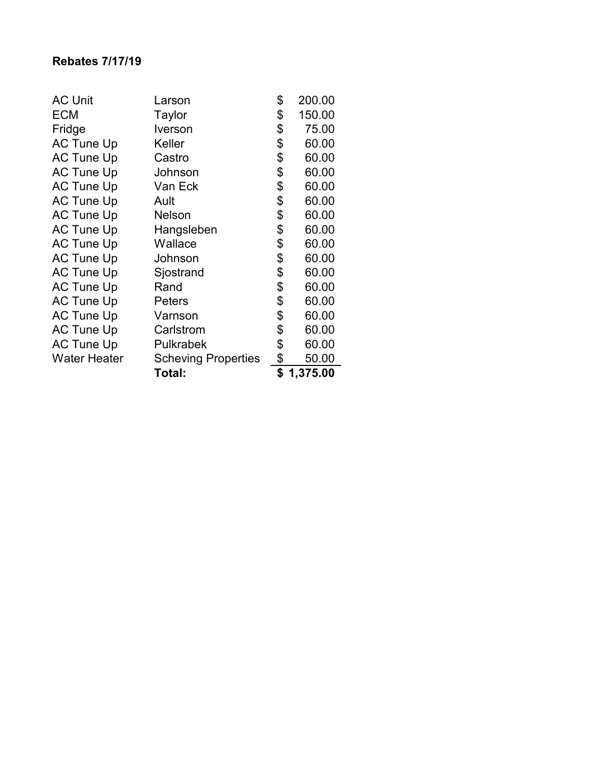|                                                   | Total:        | \$<br>1,375.00 |
|---------------------------------------------------|---------------|----------------|
| <b>Water Heater</b><br><b>Scheving Properties</b> |               | \$<br>50.00    |
| <b>AC Tune Up</b>                                 | Pulkrabek     | \$<br>60.00    |
| <b>AC Tune Up</b>                                 | Carlstrom     | \$<br>60.00    |
| <b>AC Tune Up</b>                                 | Varnson       | \$<br>60.00    |
| <b>AC Tune Up</b>                                 | Peters        | \$<br>60.00    |
| <b>AC Tune Up</b>                                 | Rand          | \$<br>60.00    |
| <b>AC Tune Up</b>                                 | Sjostrand     | \$<br>60.00    |
| <b>AC Tune Up</b>                                 | Johnson       | \$<br>60.00    |
| <b>AC Tune Up</b>                                 | Wallace       | \$<br>60.00    |
| <b>AC Tune Up</b>                                 | Hangsleben    | \$<br>60.00    |
| <b>AC Tune Up</b>                                 | <b>Nelson</b> | \$<br>60.00    |
| <b>AC Tune Up</b>                                 | Ault          | \$<br>60.00    |
| <b>AC Tune Up</b>                                 | Van Eck       | \$<br>60.00    |
| <b>AC Tune Up</b>                                 | Johnson       | \$<br>60.00    |
| <b>AC Tune Up</b>                                 | Castro        | \$<br>60.00    |
| <b>AC Tune Up</b>                                 | Keller        | \$<br>60.00    |
| Fridge                                            | Iverson       | \$<br>75.00    |
| <b>ECM</b>                                        | Taylor        | \$<br>150.00   |
| <b>AC Unit</b>                                    | Larson        | \$<br>200.00   |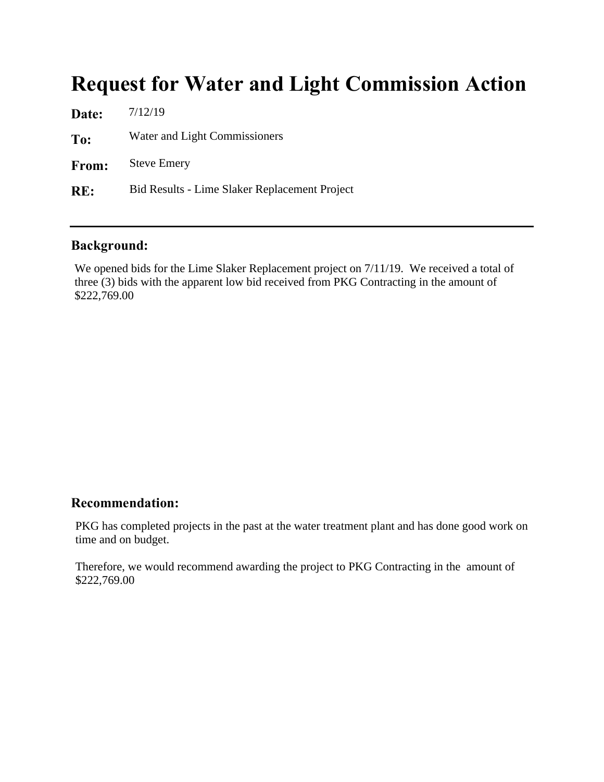# Request for Water and Light Commission Action

| Date: | 7/12/19                                       |
|-------|-----------------------------------------------|
| To:   | Water and Light Commissioners                 |
| From: | <b>Steve Emery</b>                            |
| RE:   | Bid Results - Lime Slaker Replacement Project |

#### Background:

We opened bids for the Lime Slaker Replacement project on 7/11/19. We received a total of three (3) bids with the apparent low bid received from PKG Contracting in the amount of \$222,769.00

#### Recommendation:

PKG has completed projects in the past at the water treatment plant and has done good work on time and on budget.

Therefore, we would recommend awarding the project to PKG Contracting in the amount of \$222,769.00